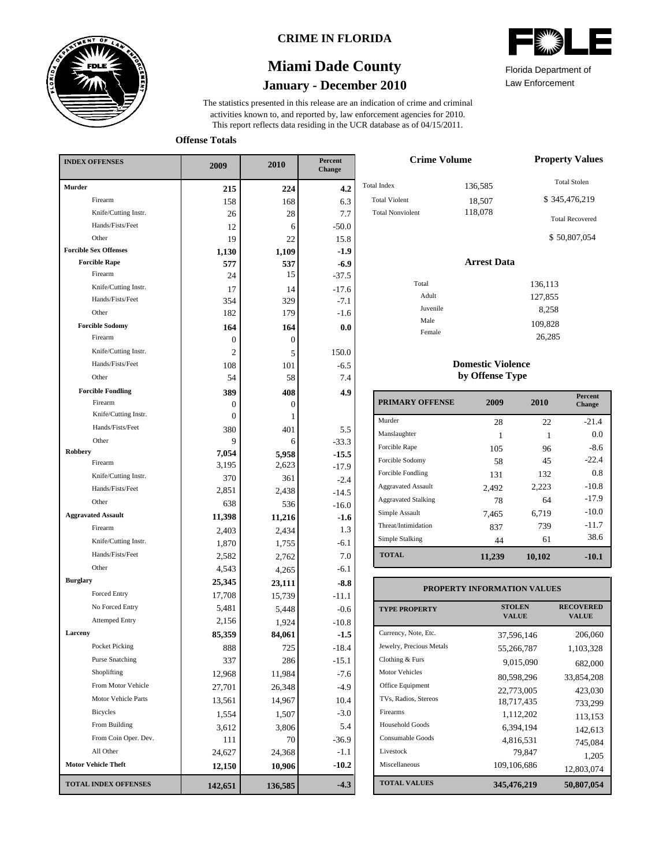

### **CRIME IN FLORIDA**

# **January - December 2010 Miami Dade County**



Total In Tota<sup>1</sup>

Law Enforcement Florida Department of

**Offense Totals**

| <b>INDEX OFFENSES</b>                    | 2009          | 2010    | Percent<br>Change |  |
|------------------------------------------|---------------|---------|-------------------|--|
| Murder                                   | 215           | 224     | 4.2               |  |
| Firearm                                  | 158           | 168     | 6.3               |  |
| Knife/Cutting Instr.                     | 26            | 28      | 7.7               |  |
| Hands/Fists/Feet                         | 12            | 6       | $-50.0$           |  |
| Other                                    | 19            | 22      | 15.8              |  |
| <b>Forcible Sex Offenses</b>             | 1,130         | 1,109   | $-1.9$            |  |
| <b>Forcible Rape</b>                     | 577           | 537     | $-6.9$            |  |
| Firearm                                  | 24            | 15      | $-37.5$           |  |
| Knife/Cutting Instr.                     | 17            | 14      | $-17.6$           |  |
| Hands/Fists/Feet                         | 354           | 329     | $-7.1$            |  |
| Other                                    | 182           | 179     | $-1.6$            |  |
| <b>Forcible Sodomy</b><br>Firearm        | 164           | 164     | 0.0               |  |
|                                          | 0             | 0       |                   |  |
| Knife/Cutting Instr.<br>Hands/Fists/Feet | 2             | 5       | 150.0             |  |
| Other                                    | 108           | 101     | $-6.5$            |  |
|                                          | 54            | 58      | 7.4               |  |
| <b>Forcible Fondling</b><br>Firearm      | 389           | 408     | 4.9               |  |
| Knife/Cutting Instr.                     | 0<br>$\Omega$ | 0<br>1  |                   |  |
| Hands/Fists/Feet                         | 380           | 401     | 5.5               |  |
| Other                                    | 9             | 6       | $-33.3$           |  |
| <b>Robbery</b>                           | 7,054         | 5,958   | $-15.5$           |  |
| Firearm                                  | 3.195         | 2,623   | $-17.9$           |  |
| Knife/Cutting Instr.                     | 370           | 361     | $-2.4$            |  |
| Hands/Fists/Feet                         | 2,851         | 2,438   | $-14.5$           |  |
| Other                                    | 638           | 536     | $-16.0$           |  |
| <b>Aggravated Assault</b>                | 11,398        | 11,216  | -1.6              |  |
| Firearm                                  | 2,403         | 2,434   | 1.3               |  |
| Knife/Cutting Instr.                     | 1,870         | 1,755   | $-6.1$            |  |
| Hands/Fists/Feet                         | 2,582         | 2,762   | 7.0               |  |
| Other                                    | 4,543         | 4,265   | $-6.1$            |  |
| <b>Burglary</b>                          | 25,345        | 23,111  | $-8.8$            |  |
| Forced Entry                             | 17,708        | 15,739  | $-11.1$           |  |
| No Forced Entry                          | 5,481         | 5,448   | $-0.6$            |  |
| <b>Attemped Entry</b>                    | 2,156         | 1,924   | $-10.8$           |  |
| Larceny                                  | 85,359        | 84,061  | $-1.5$            |  |
| Pocket Picking                           | 888           | 725     | $-18.4$           |  |
| <b>Purse Snatching</b>                   | 337           | 286     | $-15.1$           |  |
| Shoplifting                              | 12,968        | 11,984  | $-7.6$            |  |
| From Motor Vehicle                       | 27,701        | 26,348  | $-4.9$            |  |
| Motor Vehicle Parts                      | 13,561        | 14,967  | 10.4              |  |
| <b>Bicycles</b>                          | 1,554         | 1,507   | $-3.0$            |  |
| From Building                            | 3,612         | 3,806   | 5.4               |  |
| From Coin Oper. Dev.                     | 111           | 70      | $-36.9$           |  |
| All Other                                | 24,627        | 24,368  | -1.1              |  |
| <b>Motor Vehicle Theft</b>               | 12,150        | 10,906  | $-10.2$           |  |
| <b>TOTAL INDEX OFFENSES</b>              | 142,651       | 136,585 | $-4.3$            |  |

| <b>Crime Volume</b>     | <b>Property Values</b> |                        |
|-------------------------|------------------------|------------------------|
| tal Index               | 136,585                | <b>Total Stolen</b>    |
| <b>Total Violent</b>    | 18,507                 | \$345,476,219          |
| <b>Total Nonviolent</b> | 118,078                | <b>Total Recovered</b> |
|                         |                        | \$50,807,054           |
|                         | <b>Arrest Data</b>     |                        |
| Total                   |                        | 136,113                |
| Adult                   |                        | 127,855                |
| Juvenile                |                        | 8,258                  |
| Male                    |                        | 109,828                |
| Female                  |                        | 26,285                 |

### **Domestic Violence by Offense Type**

| <b>PRIMARY OFFENSE</b>     | 2009   | 2010   | <b>Percent</b><br>Change |
|----------------------------|--------|--------|--------------------------|
| Murder                     | 28     | 22.    | $-21.4$                  |
| Manslaughter               | 1      | 1      | 0.0                      |
| Forcible Rape              | 105    | 96     | $-8.6$                   |
| Forcible Sodomy            | 58     | 45     | $-22.4$                  |
| Forcible Fondling          | 131    | 132    | 0.8                      |
| <b>Aggravated Assault</b>  | 2,492  | 2,223  | $-10.8$                  |
| <b>Aggravated Stalking</b> | 78     | 64     | $-17.9$                  |
| Simple Assault             | 7,465  | 6,719  | $-10.0$                  |
| Threat/Intimidation        | 837    | 739    | $-11.7$                  |
| Simple Stalking            | 44     | 61     | 38.6                     |
| <b>TOTAL</b>               | 11,239 | 10,102 | $-10.1$                  |

#### **TOTAL VALUES VALUE PROPERTY STOLEN RECOVERED PROPERTY INFORMATION VALUES** Currency, Note, Etc. Jewelry, Precious Metals Clothing & Furs Motor Vehicles Office Equipment TVs, Radios, Stereos Firearms Household Goods Consumable Goods Livestock Miscellaneous 37,596,146 206,060 55,266,787 1,103,328 9,015,090 682,000 80,598,296 33,854,208 22,773,005 423,030 18,717,435 733,299 1,112,202 113,153 6,394,194 142,613 4,816,531 745,084 79,847<br>1,205<br>109,106,686<br>12.803.074 12,803,074 **345,476,219 50,807,054**